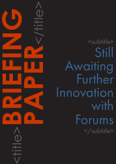<title>**BRIEFING PAPER**<br>CONSTRAINS

<subtitle> Still Awaiting Further Innovation with Forums </subtitle>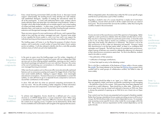### CAPDM Ltd. CAPDM Ltd.

 $A$ bout Us Every virtual learning environment (VLE) provides forum or discussion board support. Unfortunately, the resulting forums rarely develop into well ordered, well established dialogues, capable of meeting the educational needs for all of the participants. In some well publicised failure cases, student cohorts simply abandon them and setup their own elsewhere using Facebook, Twitter or Google+ which offer further benefits such as mobile support, just-in-time loading of content and sleek aesthetics. In other cases, it may be worse if students don't abandon them, and waste too much time and effort trawling through numerous, extensive and disorganised message collections for poor reward.

> There are many reasons for poor performance with forums, and in general they relate to how well they are setup, managed and used. However some relate to how capable the forums system is, and in turn how well it can support the individual teaching and learning processes that the surrounding VLE must frame.

> This briefing paper will home in on the fitness-for-purpose of today's forums systems, and in particular a small number of issues that today's forum systems just do not address. It will also attempt to identify why this is, and offer possible solutions many of which are yet to be implemented.

In the past six years since this briefing paper was first written, integration of some discussion forum systems has got much easier with new independent Web services such as Muut offering embed capabilities, meaning you don't need to download a package and upload it to your own web host. However, this comes at the cost of maintaining your conversations in a third party-site, outside your own managed learning environment.

Other new forums systems such as Discourse offer more educationally optimised features such as anonymous posting and support for bigger blocks of text than most social medial platforms, helping to support deeper, more meaningful educational conversations. However Discourse isn't embeddable in current VLE systems, so users still have to go to a separate forums component or service to record their contributions in that context.

This is a bit like a combination of the features of [Skype](http://www.skype.com/) within a forums system like [phpBB.](https://www.phpbb.com/) The closest attempt so far has been the [Apache Wave](http://en.wikipedia.org/wiki/Apache_Wave) project which worked well for small groups of collaborative workers, but failed to take off more widely.

In short, VLEs still don't do what our personal computing environments do, and vice versa. We are still awaiting a better integration of these information technology services and components. Come back again in another 6 years.

To achieve real integration, forums should be a defined part of a course structure or, in CAPDM design terms, a course component 'onion'. When using a standalone forums system it becomes difficult to structure discussions within the context of an ongoing course. A student can be distracted by all the other forums available and would need to self-navigate to the appropriate discussion.

Issue #4 Presentation and access

With an integrated system, the student stays within the VLE course specific pages and the forum just becomes a part of their workflow.

Arguably a student's view of a course should be a simple set of instructions (a workflow), around which are built in all the content and tools you need at each point. The environment then services the workflow, rather than having the workflow hosted in the environment.

Forums are stuck at the asynchronous end of this spectrum of messaging. Better might be a semi-synchronous debate when the student actually learns on-line. They may be in a learning context at a particular point in time, or have the need to be in one, but they need to resolve any problems or questions they have when they arise (today, this afternoon or whenever). The answer is not to be fully synchronous as this is often too distracting and stressful. However, being fully asynchronous is not the best option either, as there is no confidence that messages won't languish. The half-way house of committed semi-synchronous, where a group of learners can commit to a debate this afternoon (or whenever) at their asynchronous convenience seems best. For this to be effective, students need to be able to control:

- the publication of their presence;
- notification of message contributions:
- to have fast rapid re-entry to the debating context.

Forum debates should be either in an 'open' or a 'FAQ' state. Open means they are regularly visited, and hence worthwhile contributing to and managing – this definition is key for this context. FAQ means they have been digested and turned into a useful reference. There should be no other state. Obviously, just as an open forum may be closed and reduced to become an FAQ one, there is always the potential of opening up an FAQ list to turn it back into an Open forum.

Finer control over how forums are presented and accessed is therefore needed. Rather than having a standalone forums system providing access to all forums in one go, the VLE should provide a more context-dependent access. For example, only accessing course-specific forums when inside the course pages within the VLE. This sounds an obvious requirement, but the context-dependency can be quite intricate.

Issue #2 Personal workflows

## Issue #1 Integration of service components

Issue #3 The synchronous/ asynchronous messaging spectrum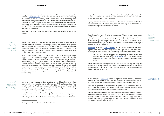#### CAPDM Ltd. CAPDM Ltd.

Issue #5 Part of a domain of content

It may also be desirable to have a contribution-driven access policy, e.g. to support a [Delphi process](http://www.iit.edu/~it/delphi.html) – a research process which involves encouraging respondents to thinking laterally and conceptualise while structuring their contributions through a number of stages. Once students make their contribution, only then can they progress to the next stage and see other's contributions. Everybody must contribute and all contributions count, though they may be of specific form such as doing ten content 'searches' first before being able to contribute to a message.

How well does your current forums system exploit the benefits of structuring debate?

Forums should be a good way for students, and other users, to make effective use of a Domain of content. For example, adding a hyperlink into a specific context (perhaps into a relevant section of a core text) is a good example of adding value to a message. However, doing this ten times, augmented by a few paragraphs around the links, gives students an ability to publish their own 'paths' through the content domain.

Going further, simply referencing any learning object (e.g. a diagram, Flash object, or applet) from within a forums message opens up the ability to selfpublish using the content assets of the Domain. This 'empowers the students' who otherwise have to take what they are given in a published domain or programmed unit. Sounds simple (and it is) but how do the students find the reference to the content item? In rich, managed content domains, with good meta-data and resource discovery tools, this becomes eminently possible. This effort should also potentially be part of an overall student activity report, allowing tutors access to a ready summary showing which students have posted what messages.

Forums need more metadata. Contributed content could be digested and then labelled with value for certain contexts by any user. "This is a key point", or "this is high priority", or "this is a misconception" or "this is erroneous" are all valid labels that could significantly improve the painfully serial process of trawling through forums looking for nuggets of value.

All of this requires rich and easy linking. By integrating forums more closely with the content it becomes possible to allow messages to reference other parts of the VLE, including its content, in a natural way. A student could post a link to

Issue #6 Meta-data and linking<sup>1</sup>

\_\_\_\_\_\_\_\_\_\_\_\_\_\_\_\_\_

a specific part of an on-line workbook. This also works the other way – the workbook could link to a forum, and a question (or its answer) could link to the relevant section of the course materials.

Again, this sounds simple and obvious, but it requires a content and systems infrastructure that is rich in meta-data, coupled with a high level of flexibility and integration, to put this functionality in place.

This is becoming more evident as new versions of VLEs roll out new features such as file attachments to forums messages. However, as far as we know, none yet offer a single integrated system that can provide a shared link mechanism that supports general usage within the VLE – all content and features. When one does come along, it is likely to want to take exclusive control of all of your content again, so watch out!

[Jag Singh](https://www.jsingh.com/) co-founded [MessageSpace,](https://www.messagespace.co.uk/) the UK's first digital political advertising agency and built the technology stack for it ground-up. He also sees a convergence in the features and functionality provided by forums and blogs.

"A number of power-bloggers are beginning to create communities (forums) around their blogs [\(TechCrunch](http://www.techcrunch.com/) etc.), and some political megasites [\(Kos,](http://www.dailykos.com/) et al.) can already be considered forums that resemble blogs."

Other contributors to MessageSpace find that posts start like 'regular' blogs, but often take on a very different feel after a dozen or so comments as they morph into something more akin to forum posts, and become increasingly unwieldy to follow and read as a result.

In the emerging "[Web 2.0"](http://en.wikipedia.org/wiki/Web_2.0) world of improved communication, information sharing and collaboration that we increasingly live in, forums systems feel 'old hat', and somewhat bypassed by today's popular social media platforms.

Your forums systems may do all of these things for you, in which case write and tell us what you are using. However, for the general masses out there, forums are a bit restrictive when it comes to supporting learning.

The next generation of VLEs will have to blur the feature boundaries of today's system components, if they are going to be able to successfully support the evolving needs of educators. In the future, VLEs need to allow educators to model different types of discussion, as well as to conduct and facilitate good quality educational dialogue online.

Issue #7 Feature convergence

**Conclusion** 

<sup>&</sup>lt;sup>1</sup> "Linking is Power": James Hendler on the Semantic Web